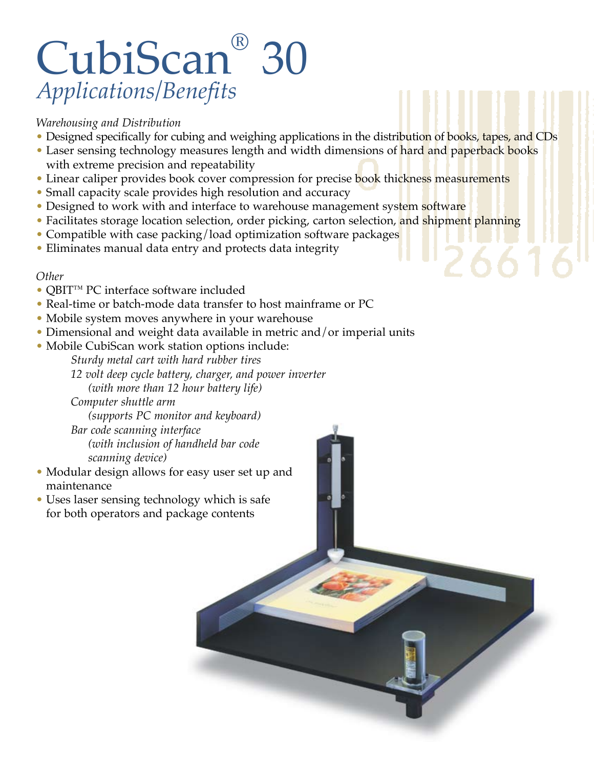## CubiScan® 30 *Applications/Benefits*

## *Warehousing and Distribution*

- Designed specifically for cubing and weighing applications in the distribution of books, tapes, and CDs
- Laser sensing technology measures length and width dimensions of hard and paperback books with extreme precision and repeatability
- Linear caliper provides book cover compression for precise book thickness measurements
- Small capacity scale provides high resolution and accuracy
- Designed to work with and interface to warehouse management system software
- Facilitates storage location selection, order picking, carton selection, and shipment planning
- Compatible with case packing/load optimization software packages
- Eliminates manual data entry and protects data integrity

## *Other*

- QBIT™ PC interface software included
- Real-time or batch-mode data transfer to host mainframe or PC
- Mobile system moves anywhere in your warehouse
- Dimensional and weight data available in metric and/or imperial units
- Mobile CubiScan work station options include:
	- *Sturdy metal cart with hard rubber tires*
	- *12 volt deep cycle battery, charger, and power inverter (with more than 12 hour battery life)*

 *Computer shuttle arm (supports PC monitor and keyboard) Bar code scanning interface (with inclusion of handheld bar code scanning device)*

- Modular design allows for easy user set up and maintenance
- Uses laser sensing technology which is safe for both operators and package contents